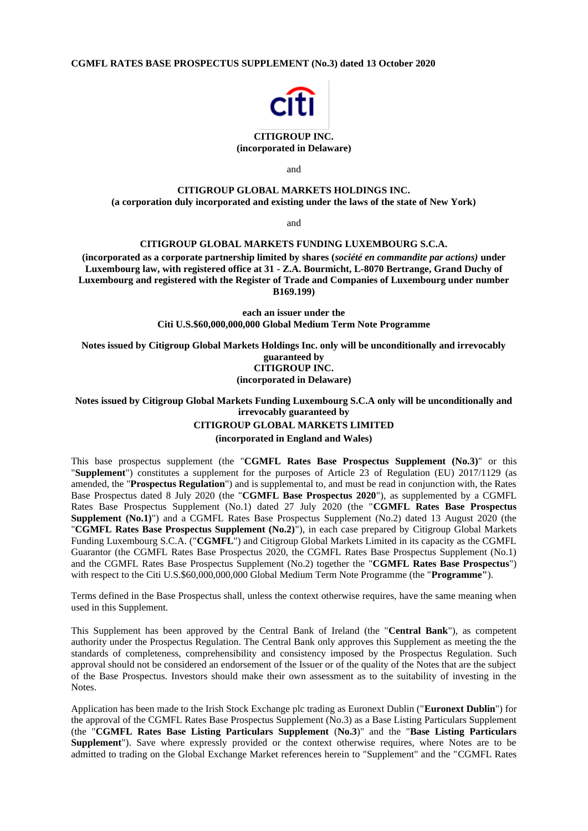**CGMFL RATES BASE PROSPECTUS SUPPLEMENT (No.3) dated 13 October 2020**



# **CITIGROUP INC.**

**(incorporated in Delaware)**

and

## **CITIGROUP GLOBAL MARKETS HOLDINGS INC. (a corporation duly incorporated and existing under the laws of the state of New York)**

and

# **CITIGROUP GLOBAL MARKETS FUNDING LUXEMBOURG S.C.A.**

**(incorporated as a corporate partnership limited by shares (***société en commandite par actions)* **under Luxembourg law, with registered office at 31 - Z.A. Bourmicht, L-8070 Bertrange, Grand Duchy of Luxembourg and registered with the Register of Trade and Companies of Luxembourg under number B169.199)**

> **each an issuer under the Citi U.S.\$60,000,000,000 Global Medium Term Note Programme**

**Notes issued by Citigroup Global Markets Holdings Inc. only will be unconditionally and irrevocably guaranteed by CITIGROUP INC.**

**(incorporated in Delaware)**

# **Notes issued by Citigroup Global Markets Funding Luxembourg S.C.A only will be unconditionally and irrevocably guaranteed by CITIGROUP GLOBAL MARKETS LIMITED**

**(incorporated in England and Wales)**

This base prospectus supplement (the "**CGMFL Rates Base Prospectus Supplement (No.3)**" or this "**Supplement**") constitutes a supplement for the purposes of Article 23 of Regulation (EU) 2017/1129 (as amended, the "**Prospectus Regulation**") and is supplemental to, and must be read in conjunction with, the Rates Base Prospectus dated 8 July 2020 (the "**CGMFL Base Prospectus 2020**"), as supplemented by a CGMFL Rates Base Prospectus Supplement (No.1) dated 27 July 2020 (the "**CGMFL Rates Base Prospectus Supplement (No.1)**") and a CGMFL Rates Base Prospectus Supplement (No.2) dated 13 August 2020 (the "**CGMFL Rates Base Prospectus Supplement (No.2)**"), in each case prepared by Citigroup Global Markets Funding Luxembourg S.C.A. ("**CGMFL**") and Citigroup Global Markets Limited in its capacity as the CGMFL Guarantor (the CGMFL Rates Base Prospectus 2020, the CGMFL Rates Base Prospectus Supplement (No.1) and the CGMFL Rates Base Prospectus Supplement (No.2) together the "**CGMFL Rates Base Prospectus**") with respect to the Citi U.S.\$60,000,000,000 Global Medium Term Note Programme (the "**Programme"**).

Terms defined in the Base Prospectus shall, unless the context otherwise requires, have the same meaning when used in this Supplement.

This Supplement has been approved by the Central Bank of Ireland (the "**Central Bank**"), as competent authority under the Prospectus Regulation. The Central Bank only approves this Supplement as meeting the the standards of completeness, comprehensibility and consistency imposed by the Prospectus Regulation. Such approval should not be considered an endorsement of the Issuer or of the quality of the Notes that are the subject of the Base Prospectus. Investors should make their own assessment as to the suitability of investing in the Notes.

Application has been made to the Irish Stock Exchange plc trading as Euronext Dublin ("**Euronext Dublin**") for the approval of the CGMFL Rates Base Prospectus Supplement (No.3) as a Base Listing Particulars Supplement (the "**CGMFL Rates Base Listing Particulars Supplement** (**No.3**)" and the "**Base Listing Particulars Supplement**"). Save where expressly provided or the context otherwise requires, where Notes are to be admitted to trading on the Global Exchange Market references herein to "Supplement" and the "CGMFL Rates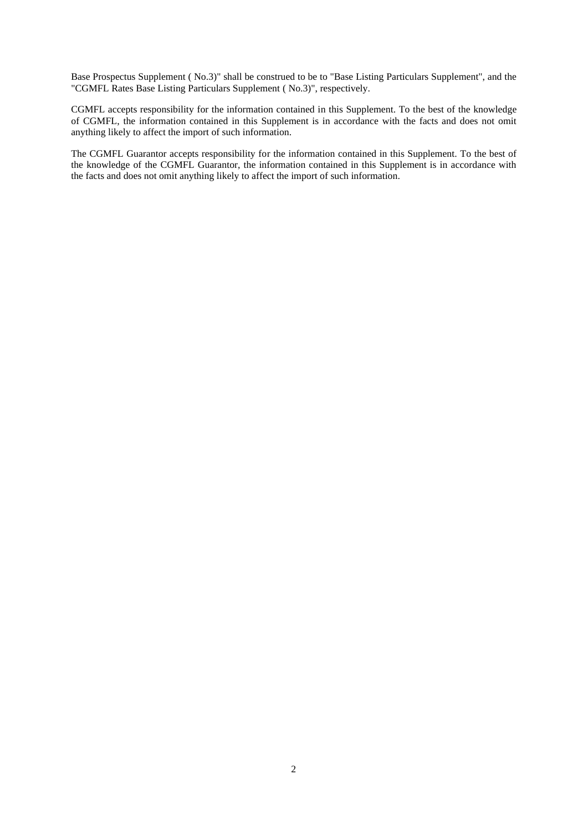Base Prospectus Supplement ( No.3)" shall be construed to be to "Base Listing Particulars Supplement", and the "CGMFL Rates Base Listing Particulars Supplement ( No.3)", respectively.

CGMFL accepts responsibility for the information contained in this Supplement. To the best of the knowledge of CGMFL, the information contained in this Supplement is in accordance with the facts and does not omit anything likely to affect the import of such information.

The CGMFL Guarantor accepts responsibility for the information contained in this Supplement. To the best of the knowledge of the CGMFL Guarantor, the information contained in this Supplement is in accordance with the facts and does not omit anything likely to affect the import of such information.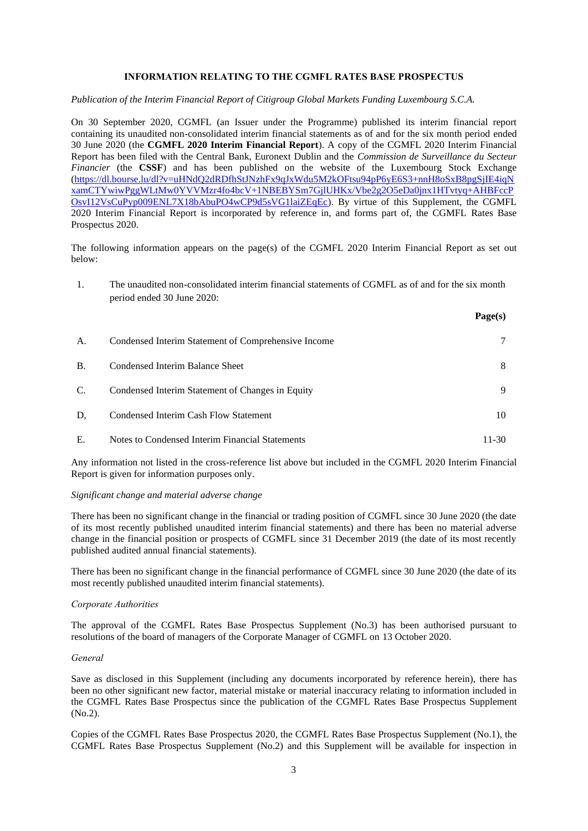# **INFORMATION RELATING TO THE CGMFL RATES BASE PROSPECTUS**

#### *Publication of the Interim Financial Report of Citigroup Global Markets Funding Luxembourg S.C.A.*

On 30 September 2020, CGMFL (an Issuer under the Programme) published its interim financial report containing its unaudited non-consolidated interim financial statements as of and for the six month period ended 30 June 2020 (the **CGMFL 2020 Interim Financial Report**). A copy of the CGMFL 2020 Interim Financial Report has been filed with the Central Bank, Euronext Dublin and the *Commission de Surveillance du Secteur Financier* (the **CSSF**) and has been published on the website of the Luxembourg Stock Exchange [\(https://dl.bourse.lu/dl?v=uHNdQ2dRDfhStJNzhFx9qJxWdu5M2kOFtsu94pP6yE6S3+nnH8oSxB8pgSjIE4iqN](https://dl.bourse.lu/dl?v=uHNdQ2dRDfhStJNzhFx9qJxWdu5M2kOFtsu94pP6yE6S3+nnH8oSxB8pgSjIE4iqNxamCTYwiwPggWLtMw0YVVMzr4fo4bcV+1NBEBYSm7GjlUHKx/Vbe2g2O5eDa0jnx1HTvtyq+AHBFccPOsvI12VsCuPyp009ENL7X18bAbuPO4wCP9d5sVG1laiZEqEc) [xamCTYwiwPggWLtMw0YVVMzr4fo4bcV+1NBEBYSm7GjlUHKx/Vbe2g2O5eDa0jnx1HTvtyq+AHBFccP](https://dl.bourse.lu/dl?v=uHNdQ2dRDfhStJNzhFx9qJxWdu5M2kOFtsu94pP6yE6S3+nnH8oSxB8pgSjIE4iqNxamCTYwiwPggWLtMw0YVVMzr4fo4bcV+1NBEBYSm7GjlUHKx/Vbe2g2O5eDa0jnx1HTvtyq+AHBFccPOsvI12VsCuPyp009ENL7X18bAbuPO4wCP9d5sVG1laiZEqEc) [OsvI12VsCuPyp009ENL7X18bAbuPO4wCP9d5sVG1laiZEqEc\)](https://dl.bourse.lu/dl?v=uHNdQ2dRDfhStJNzhFx9qJxWdu5M2kOFtsu94pP6yE6S3+nnH8oSxB8pgSjIE4iqNxamCTYwiwPggWLtMw0YVVMzr4fo4bcV+1NBEBYSm7GjlUHKx/Vbe2g2O5eDa0jnx1HTvtyq+AHBFccPOsvI12VsCuPyp009ENL7X18bAbuPO4wCP9d5sVG1laiZEqEc). By virtue of this Supplement, the CGMFL 2020 Interim Financial Report is incorporated by reference in, and forms part of, the CGMFL Rates Base Prospectus 2020.

The following information appears on the page(s) of the CGMFL 2020 Interim Financial Report as set out below:

1. The unaudited non-consolidated interim financial statements of CGMFL as of and for the six month period ended 30 June 2020:

|           |                                                     | Page(s) |
|-----------|-----------------------------------------------------|---------|
| А.        | Condensed Interim Statement of Comprehensive Income |         |
| <b>B.</b> | Condensed Interim Balance Sheet                     | 8       |
| C.        | Condensed Interim Statement of Changes in Equity    | 9       |
| D.        | Condensed Interim Cash Flow Statement               | 10      |
| Е.        | Notes to Condensed Interim Financial Statements     | 11-30   |

Any information not listed in the cross-reference list above but included in the CGMFL 2020 Interim Financial Report is given for information purposes only.

#### *Significant change and material adverse change*

There has been no significant change in the financial or trading position of CGMFL since 30 June 2020 (the date of its most recently published unaudited interim financial statements) and there has been no material adverse change in the financial position or prospects of CGMFL since 31 December 2019 (the date of its most recently published audited annual financial statements).

There has been no significant change in the financial performance of CGMFL since 30 June 2020 (the date of its most recently published unaudited interim financial statements).

### *Corporate Authorities*

The approval of the CGMFL Rates Base Prospectus Supplement (No.3) has been authorised pursuant to resolutions of the board of managers of the Corporate Manager of CGMFL on 13 October 2020.

### *General*

Save as disclosed in this Supplement (including any documents incorporated by reference herein), there has been no other significant new factor, material mistake or material inaccuracy relating to information included in the CGMFL Rates Base Prospectus since the publication of the CGMFL Rates Base Prospectus Supplement (No.2).

Copies of the CGMFL Rates Base Prospectus 2020, the CGMFL Rates Base Prospectus Supplement (No.1), the CGMFL Rates Base Prospectus Supplement (No.2) and this Supplement will be available for inspection in